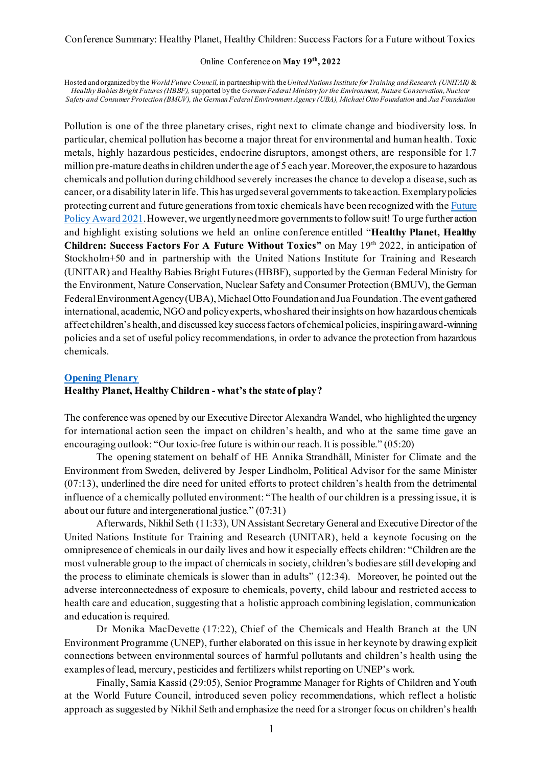#### Online Conference on **May 19th, 2022**

Hosted and organized by the *World Future Council,*in partnership with the*United Nations Institute for Training and Research (UNITAR)* & *Healthy Babies Bright Futures (HBBF),* supported by the *GermanFederal Ministry for the Environment, Nature Conservation, Nuclear Safety and Consumer Protection (BMUV), the German Federal Environment Agency (UBA), Michael Otto Foundation* and *Jua Foundation*

Pollution is one of the three planetary crises, right next to climate change and biodiversity loss. In particular, chemical pollution has become a major threat for environmental and human health. Toxic metals, highly hazardous pesticides, endocrine disruptors, amongst others, are responsible for 1.7 million pre-mature deaths in children under the age of 5 each year. Moreover, the exposure to hazardous chemicals and pollution during childhood severely increases the chance to develop a disease, such as cancer, or a disability later in life. This has urged several governments to take action. Exemplary policies protecting current and future generations from toxic chemicals have been recognized with the Future Policy Award 2021. However, we urgently need more governments to follow suit! To urge further action and highlight existing solutions we held an online conference entitled "**Healthy Planet, Healthy Children: Success Factors For A Future Without Toxics"** on May 19th 2022, in anticipation of Stockholm+50 and in partnership with the United Nations Institute for Training and Research (UNITAR) and Healthy Babies Bright Futures(HBBF), supported by the German Federal Ministry for the Environment, Nature Conservation, Nuclear Safety and Consumer Protection (BMUV), the German Federal Environment Agency (UBA), Michael Otto Foundation and Jua Foundation.The event gathered international, academic, NGO and policy experts, whoshared their insights on how hazardous chemicals affect children's health, and discussed key success factors of chemical policies, inspiringaward-winning policies and a set of useful policy recommendations, in order to advance the protection from hazardous chemicals.

## **Opening Plenary**

# **Healthy Planet, Healthy Children - what's the state of play?**

The conference was opened by our Executive Director Alexandra Wandel, who highlighted the urgency for international action seen the impact on children's health, and who at the same time gave an encouraging outlook: "Our toxic-free future is within our reach. It is possible." (05:20)

The opening statement on behalf of HE Annika Strandhäll, Minister for Climate and the Environment from Sweden, delivered by Jesper Lindholm, Political Advisor for the same Minister (07:13), underlined the dire need for united efforts to protect children's health from the detrimental influence of a chemically polluted environment: "The health of our children is a pressing issue, it is about our future and intergenerational justice." (07:31)

Afterwards, Nikhil Seth (11:33), UN Assistant Secretary General and Executive Director of the United Nations Institute for Training and Research (UNITAR), held a keynote focusing on the omnipresence of chemicals in our daily lives and how it especially effects children: "Children are the most vulnerable group to the impact of chemicals in society, children's bodies are still developing and the process to eliminate chemicals is slower than in adults" (12:34). Moreover, he pointed out the adverse interconnectedness of exposure to chemicals, poverty, child labour and restricted access to health care and education, suggesting that a holistic approach combining legislation, communication and education is required.

Dr Monika MacDevette (17:22), Chief of the Chemicals and Health Branch at the UN Environment Programme (UNEP), further elaborated on this issue in her keynote by drawing explicit connections between environmental sources of harmful pollutants and children's health using the examples of lead, mercury, pesticides and fertilizers whilst reporting on UNEP's work.

Finally, Samia Kassid (29:05), Senior Programme Manager for Rights of Children and Youth at the World Future Council, introduced seven policy recommendations, which reflect a holistic approach as suggested by Nikhil Seth and emphasize the need for a stronger focus on children's health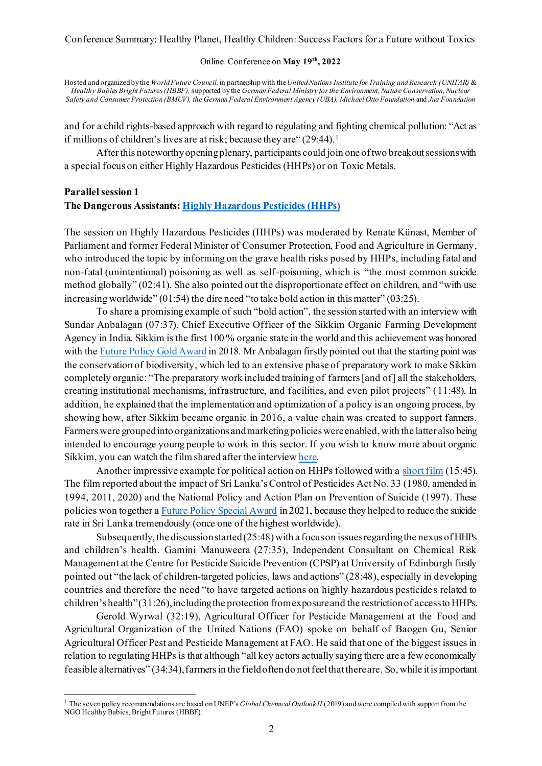#### Online Conference on **May 19th, 2022**

Hosted and organized by the *World Future Council,*in partnership with the*United Nations Institute for Training and Research (UNITAR)* & *Healthy Babies Bright Futures (HBBF),* supported by the *GermanFederal Ministry for the Environment, Nature Conservation, Nuclear Safety and Consumer Protection (BMUV), the German Federal Environment Agency (UBA), Michael Otto Foundation* and *Jua Foundation*

and for a child rights-based approach with regard to regulating and fighting chemical pollution: "Act as if millions of children's lives are at risk; because they are " $(29:44)$ .<sup>1</sup>

After this noteworthyopening plenary, participants could join one of two breakout sessions with a special focus on either Highly Hazardous Pesticides (HHPs) or on Toxic Metals.

# **Parallel session 1 The Dangerous Assistants: Highly Hazardous Pesticides (HHPs)**

The session on Highly Hazardous Pesticides (HHPs) was moderated by Renate Künast, Member of Parliament and former Federal Minister of Consumer Protection, Food and Agriculture in Germany, who introduced the topic by informing on the grave health risks posed by HHPs, including fatal and non-fatal (unintentional) poisoning as well as self-poisoning, which is "the most common suicide method globally" (02:41). She also pointed out the disproportionate effect on children, and "with use increasing worldwide" (01:54) the dire need "to take bold action in this matter" (03:25).

To share a promising example of such "bold action", the session started with an interview with Sundar Anbalagan (07:37), Chief Executive Officer of the Sikkim Organic Farming Development Agency in India. Sikkim is the first 100 % organic state in the world and this achievement was honored with the Future Policy Gold Award in 2018. Mr Anbalagan firstly pointed out that the starting point was the conservation of biodiversity, which led to an extensive phase of preparatory work to make Sikkim completely organic: "The preparatory work included training of farmers[and of] all the stakeholders, creating institutional mechanisms, infrastructure, and facilities, and even pilot projects" (11:48). In addition, he explained that the implementation and optimization of a policy is an ongoing process, by showing how, after Sikkim became organic in 2016, a value chain was created to support farmers. Farmers were grouped into organizations and marketing policies were enabled, with the latter also being intended to encourage young people to work in this sector. If you wish to know more about organic Sikkim, you can watch the film shared after the interview here.

Another impressive example for political action on HHPs followed with a short film (15:45). The film reported about the impact of Sri Lanka's Control of Pesticides Act No. 33 (1980, amended in 1994, 2011, 2020) and the National Policy and Action Plan on Prevention of Suicide (1997). These policies won together a Future Policy Special Award in 2021, because they helped to reduce the suicide rate in Sri Lanka tremendously (once one of the highest worldwide).

Subsequently, the discussion started  $(25:48)$  with a focus on issues regarding the nexus of HHPs and children's health. Gamini Manuweera (27:35), Independent Consultant on Chemical Risk Management at the Centre for Pesticide Suicide Prevention (CPSP) at University of Edinburgh firstly pointed out "the lack of children-targeted policies, laws and actions" (28:48), especially in developing countries and therefore the need "to have targeted actions on highly hazardous pesticide s related to children's health" (31:26), including the protection from exposure and the restriction of access to HHPs.

Gerold Wyrwal (32:19), Agricultural Officer for Pesticide Management at the Food and Agricultural Organization of the United Nations (FAO) spoke on behalf of Baogen Gu, Senior Agricultural Officer Pest and Pesticide Management at FAO. He said that one of the biggest issues in relation to regulating HHPs is that although "all key actors actually saying there are a few economically feasible alternatives" (34:34),farmers in the field often do not feel that there are. So, while it is important

<sup>&</sup>lt;sup>1</sup> The seven policy recommendations are based on UNEP's *Global Chemical Outlook II* (2019) and were compiled with support from the NGO Healthy Babies, Bright Futures (HBBF).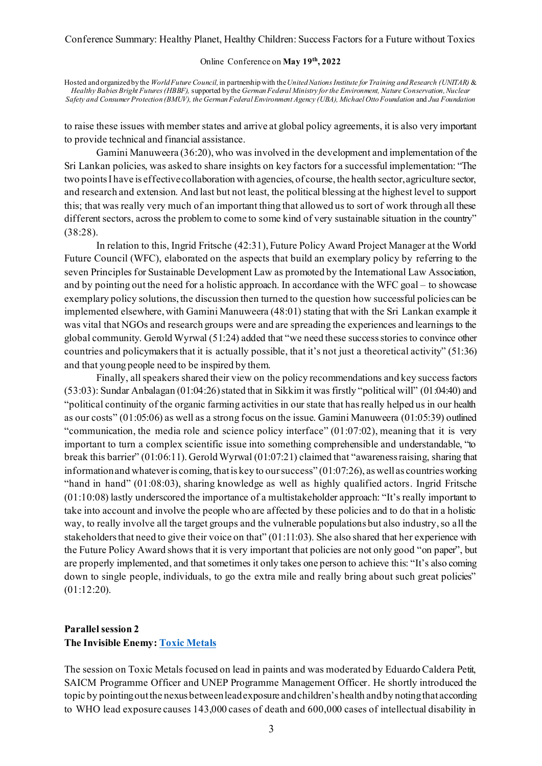#### Online Conference on **May 19th, 2022**

Hosted and organized by the *World Future Council,*in partnership with the*United Nations Institute for Training and Research (UNITAR)* & *Healthy Babies Bright Futures (HBBF),* supported by the *GermanFederal Ministry for the Environment, Nature Conservation, Nuclear Safety and Consumer Protection (BMUV), the German Federal Environment Agency (UBA), Michael Otto Foundation* and *Jua Foundation*

to raise these issues with member states and arrive at global policy agreements, it is also very important to provide technical and financial assistance.

Gamini Manuweera (36:20), who was involved in the development and implementation of the Sri Lankan policies, was asked to share insights on key factors for a successful implementation: "The two points I have is effective collaboration with agencies, of course, the health sector, agriculture sector, and research and extension. And last but not least, the political blessing at the highest level to support this; that was really very much of an important thing that allowed us to sort of work through all these different sectors, across the problem to come to some kind of very sustainable situation in the country" (38:28).

In relation to this, Ingrid Fritsche (42:31), Future Policy Award Project Manager at the World Future Council (WFC), elaborated on the aspects that build an exemplary policy by referring to the seven Principles for Sustainable Development Law as promoted by the International Law Association, and by pointing out the need for a holistic approach. In accordance with the WFC goal – to showcase exemplary policy solutions, the discussion then turned to the question how successful policies can be implemented elsewhere, with Gamini Manuweera (48:01) stating that with the Sri Lankan example it was vital that NGOs and research groups were and are spreading the experiences and learnings to the global community. Gerold Wyrwal (51:24) added that "we need these success storiesto convince other countries and policymakers that it is actually possible, that it's not just a theoretical activity" (51:36) and that young people need to be inspired by them.

Finally, all speakers shared their view on the policy recommendations and key success factors (53:03): Sundar Anbalagan (01:04:26) stated that in Sikkim it was firstly "political will" (01:04:40) and "political continuity of the organic farming activities in our state that has really helped us in our health as our costs" (01:05:06) as well as a strong focus on the issue. Gamini Manuweera (01:05:39) outlined "communication, the media role and science policy interface"  $(01:07:02)$ , meaning that it is very important to turn a complex scientific issue into something comprehensible and understandable, "to break this barrier" (01:06:11). Gerold Wyrwal (01:07:21) claimed that "awareness raising, sharing that information and whatever is coming, that is key to our success" (01:07:26), as well as countries working "hand in hand" (01:08:03), sharing knowledge as well as highly qualified actors. Ingrid Fritsche (01:10:08) lastly underscored the importance of a multistakeholder approach: "It's really important to take into account and involve the people who are affected by these policies and to do that in a holistic way, to really involve all the target groups and the vulnerable populations but also industry, so a ll the stakeholders that need to give their voice on that" (01:11:03). She also shared that her experience with the Future Policy Award shows that it is very important that policies are not only good "on paper", but are properly implemented, and that sometimes it only takes one person to achieve this: "It's also coming down to single people, individuals, to go the extra mile and really bring about such great policies" (01:12:20).

# **Parallel session 2 The Invisible Enemy: Toxic Metals**

The session on Toxic Metals focused on lead in paints and was moderated by Eduardo Caldera Petit, SAICM Programme Officer and UNEP Programme Management Officer. He shortly introduced the topic by pointing out the nexus between lead exposure and children's health and by noting that according to WHO lead exposure causes 143,000 cases of death and 600,000 cases of intellectual disability in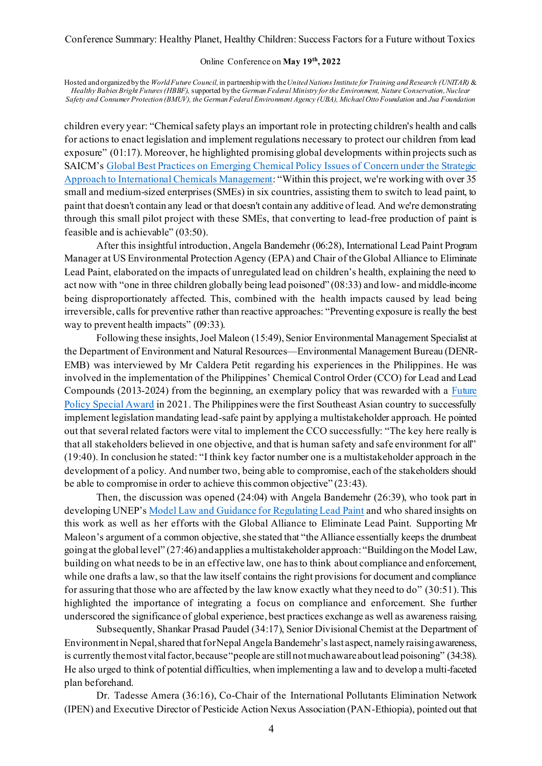#### Online Conference on **May 19th, 2022**

Hosted and organized by the *World Future Council,*in partnership with the*United Nations Institute for Training and Research (UNITAR)* & *Healthy Babies Bright Futures (HBBF),* supported by the *GermanFederal Ministry for the Environment, Nature Conservation, Nuclear Safety and Consumer Protection (BMUV), the German Federal Environment Agency (UBA), Michael Otto Foundation* and *Jua Foundation*

children every year: "Chemical safety plays an important role in protecting children's health and calls for actions to enact legislation and implement regulations necessary to protect our children from lead exposure" (01:17). Moreover, he highlighted promising global developments within projects such as SAICM's Global Best Practices on Emerging Chemical Policy Issues of Concern under the Strategic Approach to International Chemicals Management: "Within this project, we're working with over 35 small and medium-sized enterprises(SMEs) in six countries, assisting them to switch to lead paint, to paint that doesn't contain any lead or that doesn't contain any additive of lead. And we're demonstrating through this small pilot project with these SMEs, that converting to lead-free production of paint is feasible and is achievable" (03:50).

After this insightful introduction, Angela Bandemehr (06:28), International Lead Paint Program Manager at US Environmental Protection Agency (EPA) and Chair of the Global Alliance to Eliminate Lead Paint, elaborated on the impacts of unregulated lead on children's health, explaining the need to act now with "one in three children globally being lead poisoned" (08:33) and low- and middle-income being disproportionately affected. This, combined with the health impacts caused by lead being irreversible, calls for preventive rather than reactive approaches: "Preventing exposure is really the best way to prevent health impacts" (09:33).

Following these insights, Joel Maleon (15:49), Senior Environmental Management Specialist at the Department of Environment and Natural Resources—Environmental Management Bureau (DENR-EMB) was interviewed by Mr Caldera Petit regarding his experiences in the Philippines. He was involved in the implementation of the Philippines' Chemical Control Order (CCO) for Lead and Lead Compounds (2013-2024) from the beginning, an exemplary policy that was rewarded with a Future Policy Special Award in 2021. The Philippines were the first Southeast Asian country to successfully implement legislation mandating lead-safe paint by applying a multistakeholder approach. He pointed out that several related factors were vital to implement the CCO successfully: "The key here really is that all stakeholders believed in one objective, and that is human safety and safe environment for all" (19:40). In conclusion he stated: "I think key factor number one is a multistakeholder approach in the development of a policy. And number two, being able to compromise, each of the stakeholders should be able to compromise in order to achieve this common objective" (23:43).

Then, the discussion was opened (24:04) with Angela Bandemehr (26:39), who took part in developing UNEP's Model Law and Guidance for Regulating Lead Paint and who shared insights on this work as well as her efforts with the Global Alliance to Eliminate Lead Paint. Supporting Mr Maleon's argument of a common objective, she stated that "the Alliance essentially keeps the drumbeat going at the global level" (27:46) and applies a multistakeholder approach: "Building on the Model Law, building on what needs to be in an effective law, one has to think about compliance and enforcement, while one drafts a law, so that the law itself contains the right provisions for document and compliance for assuring that those who are affected by the law know exactly what they need to do" (30:51).This highlighted the importance of integrating a focus on compliance and enforcement. She further underscored the significance of global experience, best practices exchange as well as awareness raising.

Subsequently, Shankar Prasad Paudel (34:17), Senior Divisional Chemist at the Department of Environment in Nepal, shared that for Nepal Angela Bandemehr's last aspect, namely raising awareness, is currently the most vital factor, because "people are still not much aware about lead poisoning" (34:38). He also urged to think of potential difficulties, when implementing a law and to develop a multi-faceted plan beforehand.

Dr. Tadesse Amera (36:16), Co-Chair of the International Pollutants Elimination Network (IPEN) and Executive Director of Pesticide Action Nexus Association (PAN-Ethiopia), pointed out that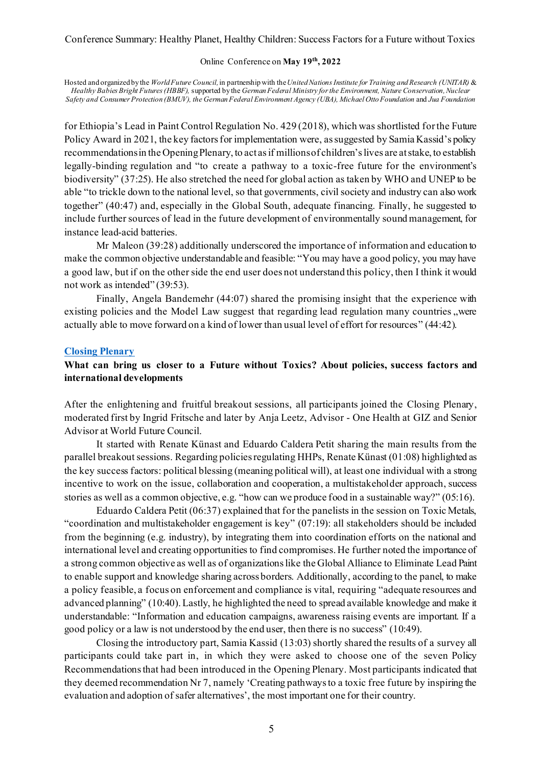#### Online Conference on **May 19th, 2022**

Hosted and organized by the *World Future Council,*in partnership with the*United Nations Institute for Training and Research (UNITAR)* & *Healthy Babies Bright Futures (HBBF),* supported by the *GermanFederal Ministry for the Environment, Nature Conservation, Nuclear Safety and Consumer Protection (BMUV), the German Federal Environment Agency (UBA), Michael Otto Foundation* and *Jua Foundation*

for Ethiopia's Lead in Paint Control Regulation No. 429 (2018), which was shortlisted for the Future Policy Award in 2021, the key factors for implementation were, as suggested by Samia Kassid's policy recommendations in the Opening Plenary, to act as if millions of children's lives are at stake, to establish legally-binding regulation and "to create a pathway to a toxic-free future for the environment's biodiversity" (37:25). He also stretched the need for global action as taken by WHO and UNEP to be able "to trickle down to the national level, so that governments, civil society and industry can also work together" (40:47) and, especially in the Global South, adequate financing. Finally, he suggested to include further sources of lead in the future development of environmentally sound management, for instance lead-acid batteries.

Mr Maleon (39:28) additionally underscored the importance of information and education to make the common objective understandable and feasible: "You may have a good policy, you may have a good law, but if on the other side the end user does not understand this policy, then I think it would not work as intended" (39.53).

Finally, Angela Bandemehr (44:07) shared the promising insight that the experience with existing policies and the Model Law suggest that regarding lead regulation many countries , were actually able to move forward on a kind of lower than usual level of effort for resources" (44:42).

#### **Closing Plenary**

# **What can bring us closer to a Future without Toxics? About policies, success factors and international developments**

After the enlightening and fruitful breakout sessions, all participants joined the Closing Plenary, moderated first by Ingrid Fritsche and later by Anja Leetz, Advisor - One Health at GIZ and Senior Advisor at World Future Council.

It started with Renate Künast and Eduardo Caldera Petit sharing the main results from the parallel breakout sessions. Regarding policies regulating HHPs, Renate Künast (01:08) highlighted as the key success factors: political blessing (meaning political will), at least one individual with a strong incentive to work on the issue, collaboration and cooperation, a multistakeholder approach, success stories as well as a common objective, e.g. "how can we produce food in a sustainable way?" (05:16).

Eduardo Caldera Petit (06:37) explained that for the panelists in the session on Toxic Metals, "coordination and multistakeholder engagement is key" (07:19): all stakeholders should be included from the beginning (e.g. industry), by integrating them into coordination efforts on the national and international level and creating opportunities to find compromises. He further noted the importance of a strong common objective as well as of organizations like the Global Alliance to Eliminate Lead Paint to enable support and knowledge sharing across borders. Additionally, according to the panel, to make a policy feasible, a focus on enforcement and compliance is vital, requiring "adequate resources and advanced planning" (10:40). Lastly, he highlighted the need to spread available knowledge and make it understandable: "Information and education campaigns, awareness raising events are important. If a good policy or a law is not understood by the end user, then there is no success" (10:49).

Closing the introductory part, Samia Kassid (13:03) shortly shared the results of a survey all participants could take part in, in which they were asked to choose one of the seven Policy Recommendations that had been introduced in the Opening Plenary. Most participants indicated that they deemed recommendation Nr 7, namely 'Creating pathways to a toxic free future by inspiring the evaluation and adoption of safer alternatives', the most important one for their country.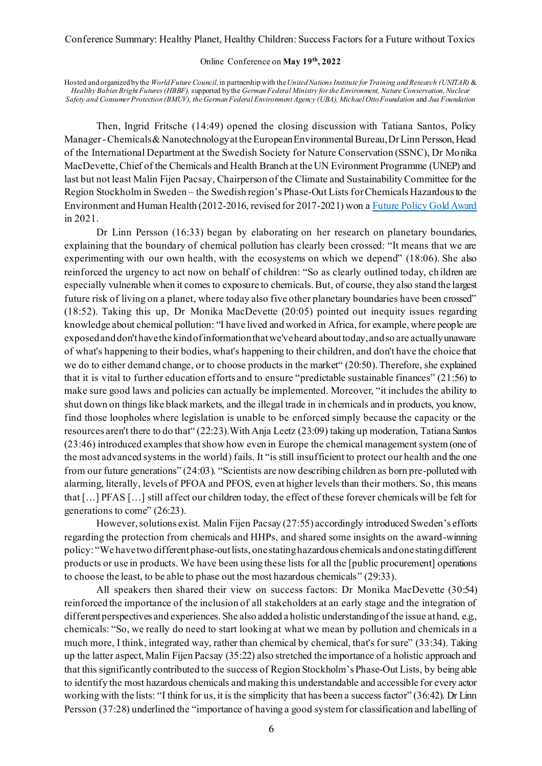#### Online Conference on **May 19th, 2022**

Hosted and organized by the *World Future Council,*in partnership with the*United Nations Institute for Training and Research (UNITAR)* & *Healthy Babies Bright Futures (HBBF),* supported by the *GermanFederal Ministry for the Environment, Nature Conservation, Nuclear Safety and Consumer Protection (BMUV), the German Federal Environment Agency (UBA), Michael Otto Foundation* and *Jua Foundation*

Then, Ingrid Fritsche (14:49) opened the closing discussion with Tatiana Santos, Policy Manager -Chemicals & Nanotechnology at the European Environmental Bureau, Dr Linn Persson, Head of the International Department at the Swedish Society for Nature Conservation (SSNC), Dr Monika MacDevette, Chief of the Chemicals and Health Branch at the UN Evironment Programme (UNEP) and last but not least Malin Fijen Pacsay, Chairperson of the Climate and Sustainability Committee for the Region Stockholm in Sweden – the Swedish region's Phase-Out Lists for Chemicals Hazardous to the Environment and Human Health (2012-2016, revised for 2017-2021) won a Future Policy Gold Award in 2021.

Dr Linn Persson (16:33) began by elaborating on her research on planetary boundaries, explaining that the boundary of chemical pollution has clearly been crossed: "It means that we are experimenting with our own health, with the ecosystems on which we depend" (18:06). She also reinforced the urgency to act now on behalf of children: "So as clearly outlined today, ch ildren are especially vulnerable when it comes to exposure to chemicals. But, of course, they also stand the largest future risk of living on a planet, where today also five other planetary boundaries have been crossed" (18:52). Taking this up, Dr Monika MacDevette (20:05) pointed out inequity issues regarding knowledge about chemical pollution: "I have lived and worked in Africa, for example, where people are exposed and don't have the kind of information that we've heard about today, and so are actually unaware of what's happening to their bodies, what's happening to their children, and don't have the choice that we do to either demand change, or to choose products in the market" (20:50). Therefore, she explained that it is vital to further education efforts and to ensure "predictable sustainable finances" (21:56) to make sure good laws and policies can actually be implemented. Moreover, "it includes the ability to shut down on things like black markets, and the illegal trade in in chemicals and in products, you know, find those loopholes where legislation is unable to be enforced simply because the capacity or the resources aren't there to do that" (22:23).With Anja Leetz (23:09) taking up moderation, Tatiana Santos (23:46) introduced examples that show how even in Europe the chemical management system (one of the most advanced systems in the world) fails. It "is still insufficient to protect our health and the one from our future generations" (24:03). "Scientists are now describing children as born pre-polluted with alarming, literally, levels of PFOA and PFOS, even at higher levels than their mothers. So, this means that […] PFAS […] still affect our children today, the effect of these forever chemicals will be felt for generations to come" (26:23).

However, solutions exist. Malin Fijen Pacsay (27:55) accordingly introduced Sweden's efforts regarding the protection from chemicals and HHPs, and shared some insights on the award-winning policy: "We have two different phase-out lists, one stating hazardous chemicals and one stating different products or use in products. We have been using these lists for all the [public procurement] operations to choose the least, to be able to phase out the most hazardous chemicals" (29:33).

All speakers then shared their view on success factors: Dr Monika MacDevette (30:54) reinforced the importance of the inclusion of all stakeholders at an early stage and the integration of different perspectives and experiences. She also added a holistic understanding of the issue at hand, e.g., chemicals: "So, we really do need to start looking at what we mean by pollution and chemicals in a much more, I think, integrated way, rather than chemical by chemical, that's for sure" (33:34). Taking up the latter aspect, Malin Fijen Pacsay (35:22) also stretched the importance of a holistic approach and that this significantly contributed to the success of Region Stockholm's Phase-Out Lists, by being able to identify the most hazardous chemicals and making this understandable and accessible for every actor working with the lists: "I think for us, it is the simplicity that has been a success factor" (36:42). Dr Linn Persson (37:28) underlined the "importance of having a good system for classification and labelling of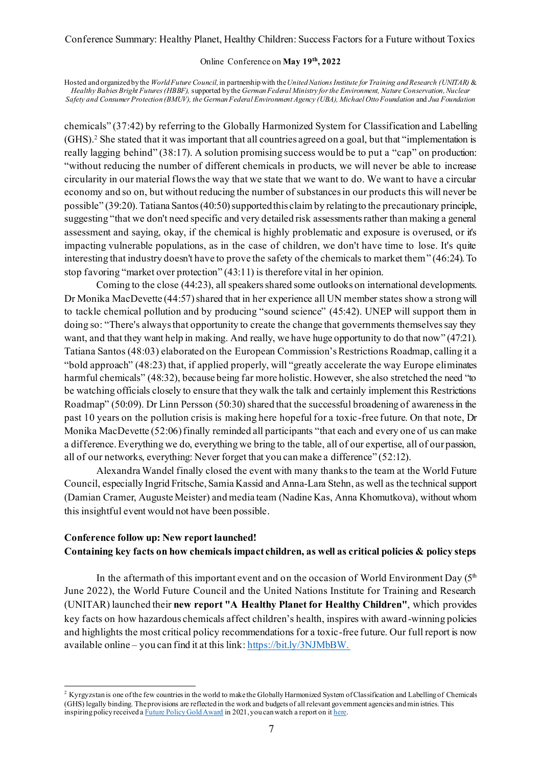#### Online Conference on **May 19th, 2022**

Hosted and organized by the *World Future Council,*in partnership with the*United Nations Institute for Training and Research (UNITAR)* & *Healthy Babies Bright Futures (HBBF),* supported by the *GermanFederal Ministry for the Environment, Nature Conservation, Nuclear Safety and Consumer Protection (BMUV), the German Federal Environment Agency (UBA), Michael Otto Foundation* and *Jua Foundation*

chemicals" (37:42) by referring to the Globally Harmonized System for Classification and Labelling (GHS). <sup>2</sup> She stated that it was important that all countries agreed on a goal, but that "implementation is really lagging behind" (38:17). A solution promising success would be to put a "cap" on production: "without reducing the number of different chemicals in products, we will never be able to increase circularity in our material flows the way that we state that we want to do. We want to have a circular economy and so on, but without reducing the number of substances in our products this will never be possible" (39:20). Tatiana Santos (40:50) supported this claim by relating to the precautionary principle, suggesting "that we don't need specific and very detailed risk assessments rather than making a general assessment and saying, okay, if the chemical is highly problematic and exposure is overused, or it's impacting vulnerable populations, as in the case of children, we don't have time to lose. It's quite interesting that industry doesn't have to prove the safety of the chemicals to market them" (46:24). To stop favoring "market over protection" (43:11) is therefore vital in her opinion.

Coming to the close (44:23), all speakers shared some outlooks on international developments. Dr Monika MacDevette (44:57) shared that in her experience all UN member states show a strong will to tackle chemical pollution and by producing "sound science" (45:42). UNEP will support them in doing so: "There's always that opportunity to create the change that governments themselves say they want, and that they want help in making. And really, we have huge opportunity to do that now" (47:21). Tatiana Santos (48:03) elaborated on the European Commission's Restrictions Roadmap, calling it a "bold approach" (48:23) that, if applied properly, will "greatly accelerate the way Europe eliminates harmful chemicals" (48:32), because being far more holistic. However, she also stretched the need "to be watching officials closely to ensure that they walk the talk and certainly implement this Restrictions Roadmap" (50:09). Dr Linn Persson (50:30) shared that the successful broadening of awareness in the past 10 years on the pollution crisis is making here hopeful for a toxic-free future. On that note, Dr Monika MacDevette (52:06) finally reminded all participants "that each and every one of us can make a difference. Everything we do, everything we bring to the table, all of our expertise, all of our passion, all of our networks, everything: Never forget that you can make a difference" (52:12).

Alexandra Wandel finally closed the event with many thanks to the team at the World Future Council, especially Ingrid Fritsche, Samia Kassid and Anna-Lara Stehn, as well as the technical support (Damian Cramer, Auguste Meister) and media team (Nadine Kas, Anna Khomutkova), without whom this insightful event would not have been possible.

# **Conference follow up: New report launched! Containing key facts on how chemicals impact children, as well as critical policies & policy steps**

In the aftermath of this important event and on the occasion of World Environment Day  $(5<sup>th</sup>$ June 2022), the World Future Council and the United Nations Institute for Training and Research (UNITAR) launched their **new report "A Healthy Planet for Healthy Children"**, which provides key facts on how hazardous chemicals affect children's health, inspires with award-winning policies and highlights the most critical policy recommendations for a toxic-free future. Our full report is now available online – you can find it at this link: https://bit.ly/3NJMbBW.

<sup>&</sup>lt;sup>2</sup> Kyrgyzstan is one of the few countries in the world to make the Globally Harmonized System of Classification and Labelling of Chemicals (GHS) legally binding. The provisions are reflected in the work and budgets of all relevant government agencies and min istries. This inspiring policy received a Future Policy Gold Award in 2021, you can watch a report on it here.